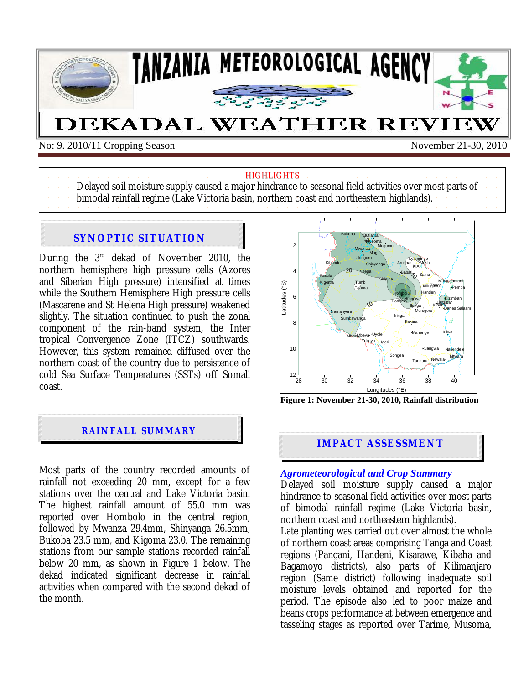

No: 9. 2010/11 Cropping Season November 21-30, 2010

#### **HIGHLIGHTS**

Delayed soil moisture supply caused a major hindrance to seasonal field activities over most parts of bimodal rainfall regime (Lake Victoria basin, northern coast and northeastern highlands).

# **SYNOPTIC SITUATION**

During the 3rd dekad of November 2010, the northern hemisphere high pressure cells (Azores and Siberian High pressure) intensified at times while the Southern Hemisphere High pressure cells (Mascarene and St Helena High pressure) weakened slightly. The situation continued to push the zonal component of the rain-band system, the Inter tropical Convergence Zone (ITCZ) southwards. However, this system remained diffused over the northern coast of the country due to persistence of cold Sea Surface Temperatures (SSTs) off Somali coast.



Most parts of the country recorded amounts of rainfall not exceeding 20 mm, except for a few stations over the central and Lake Victoria basin. The highest rainfall amount of 55.0 mm was reported over Hombolo in the central region, followed by Mwanza 29.4mm, Shinyanga 26.5mm, Bukoba 23.5 mm, and Kigoma 23.0. The remaining stations from our sample stations recorded rainfall below 20 mm, as shown in Figure 1 below. The dekad indicated significant decrease in rainfall activities when compared with the second dekad of the month.



**Figure 1: November 21-30, 2010, Rainfall distribution** 

# **IMPACT ASSESSMENT**

#### *Agrometeorological and Crop Summary*

Delayed soil moisture supply caused a major hindrance to seasonal field activities over most parts of bimodal rainfall regime (Lake Victoria basin, northern coast and northeastern highlands).

Late planting was carried out over almost the whole of northern coast areas comprising Tanga and Coast regions (Pangani, Handeni, Kisarawe, Kibaha and Bagamoyo districts), also parts of Kilimanjaro region (Same district) following inadequate soil moisture levels obtained and reported for the period. The episode also led to poor maize and beans crops performance at between emergence and tasseling stages as reported over Tarime, Musoma,